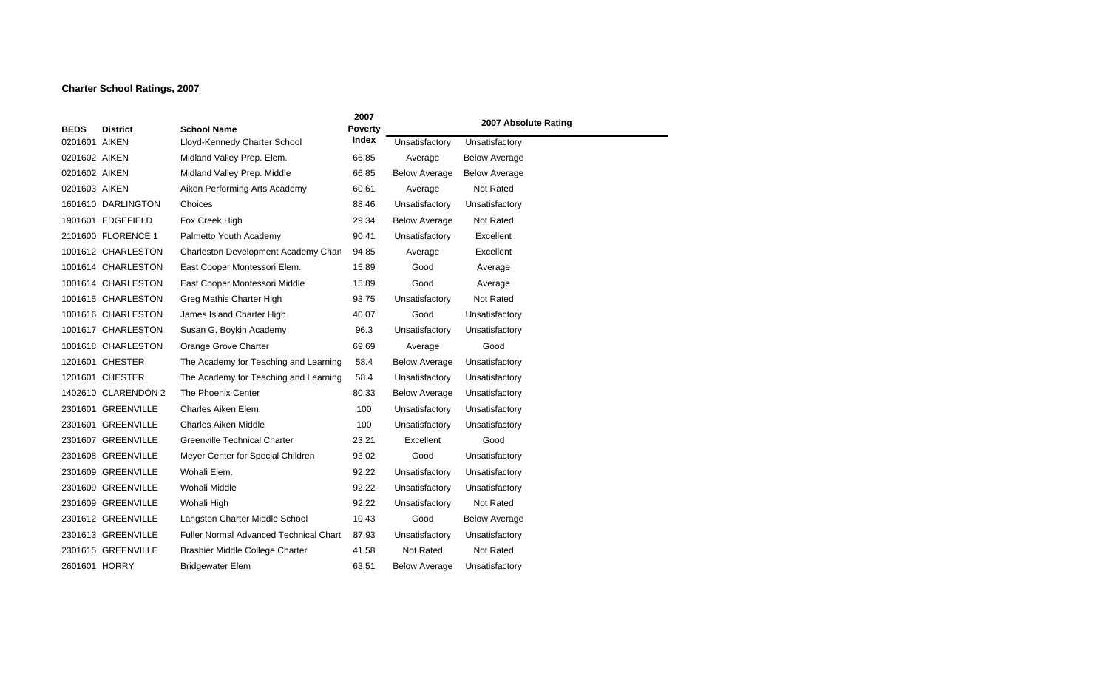## **Charter School Ratings, 2007**

|               |                     |                                               | 2007                    |                      | 2007 Absolute Rating |
|---------------|---------------------|-----------------------------------------------|-------------------------|----------------------|----------------------|
| <b>BEDS</b>   | <b>District</b>     | <b>School Name</b>                            | <b>Poverty</b><br>Index |                      |                      |
| 0201601 AIKEN |                     | Lloyd-Kennedy Charter School                  |                         | Unsatisfactory       | Unsatisfactory       |
| 0201602 AIKEN |                     | Midland Valley Prep. Elem.                    | 66.85                   | Average              | <b>Below Average</b> |
| 0201602 AIKEN |                     | Midland Valley Prep. Middle                   | 66.85                   | <b>Below Average</b> | <b>Below Average</b> |
| 0201603 AIKEN |                     | Aiken Performing Arts Academy                 | 60.61                   | Average              | <b>Not Rated</b>     |
|               | 1601610 DARLINGTON  | Choices                                       | 88.46                   | Unsatisfactory       | Unsatisfactory       |
|               | 1901601 EDGEFIELD   | Fox Creek High                                | 29.34                   | <b>Below Average</b> | <b>Not Rated</b>     |
|               | 2101600 FLORENCE 1  | Palmetto Youth Academy                        | 90.41                   | Unsatisfactory       | Excellent            |
|               | 1001612 CHARLESTON  | Charleston Development Academy Charl          | 94.85                   | Average              | Excellent            |
|               | 1001614 CHARLESTON  | East Cooper Montessori Elem.                  | 15.89                   | Good                 | Average              |
|               | 1001614 CHARLESTON  | East Cooper Montessori Middle                 | 15.89                   | Good                 | Average              |
|               | 1001615 CHARLESTON  | Greg Mathis Charter High                      | 93.75                   | Unsatisfactory       | Not Rated            |
|               | 1001616 CHARLESTON  | James Island Charter High                     | 40.07                   | Good                 | Unsatisfactory       |
|               | 1001617 CHARLESTON  | Susan G. Boykin Academy                       | 96.3                    | Unsatisfactory       | Unsatisfactory       |
|               | 1001618 CHARLESTON  | Orange Grove Charter                          | 69.69                   | Average              | Good                 |
|               | 1201601 CHESTER     | The Academy for Teaching and Learning         | 58.4                    | <b>Below Average</b> | Unsatisfactory       |
|               | 1201601 CHESTER     | The Academy for Teaching and Learning         | 58.4                    | Unsatisfactory       | Unsatisfactory       |
|               | 1402610 CLARENDON 2 | The Phoenix Center                            | 80.33                   | <b>Below Average</b> | Unsatisfactory       |
|               | 2301601 GREENVILLE  | Charles Aiken Elem.                           | 100                     | Unsatisfactory       | Unsatisfactory       |
|               | 2301601 GREENVILLE  | <b>Charles Aiken Middle</b>                   | 100                     | Unsatisfactory       | Unsatisfactory       |
|               | 2301607 GREENVILLE  | <b>Greenville Technical Charter</b>           | 23.21                   | Excellent            | Good                 |
|               | 2301608 GREENVILLE  | Meyer Center for Special Children             | 93.02                   | Good                 | Unsatisfactory       |
|               | 2301609 GREENVILLE  | Wohali Elem.                                  | 92.22                   | Unsatisfactory       | Unsatisfactory       |
|               | 2301609 GREENVILLE  | Wohali Middle                                 | 92.22                   | Unsatisfactory       | Unsatisfactory       |
|               | 2301609 GREENVILLE  | Wohali High                                   | 92.22                   | Unsatisfactory       | Not Rated            |
|               | 2301612 GREENVILLE  | Langston Charter Middle School                | 10.43                   | Good                 | <b>Below Average</b> |
|               | 2301613 GREENVILLE  | <b>Fuller Normal Advanced Technical Chart</b> | 87.93                   | Unsatisfactory       | Unsatisfactory       |
|               | 2301615 GREENVILLE  | Brashier Middle College Charter               | 41.58                   | <b>Not Rated</b>     | <b>Not Rated</b>     |
| 2601601 HORRY |                     | <b>Bridgewater Elem</b>                       | 63.51                   | <b>Below Average</b> | Unsatisfactory       |

 $\sim$